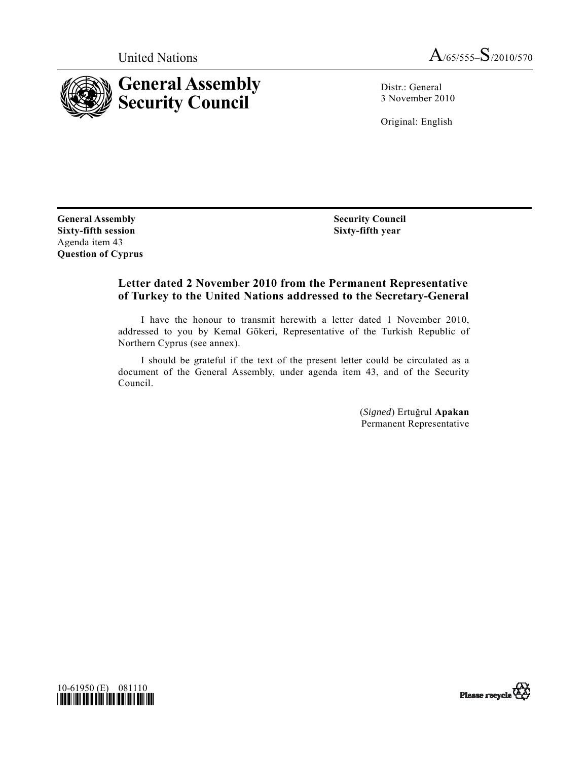

United Nations  $A$ /65/555– $S$ /2010/570

Distr.: General 3 November 2010

Original: English

**General Assembly Sixty-fifth session**  Agenda item 43 **Question of Cyprus**   **Security Council Sixty-fifth year** 

## **Letter dated 2 November 2010 from the Permanent Representative of Turkey to the United Nations addressed to the Secretary-General**

 I have the honour to transmit herewith a letter dated 1 November 2010, addressed to you by Kemal Gökeri, Representative of the Turkish Republic of Northern Cyprus (see annex).

 I should be grateful if the text of the present letter could be circulated as a document of the General Assembly, under agenda item 43, and of the Security Council.

> (*Signed*) Ertuğrul **Apakan** Permanent Representative



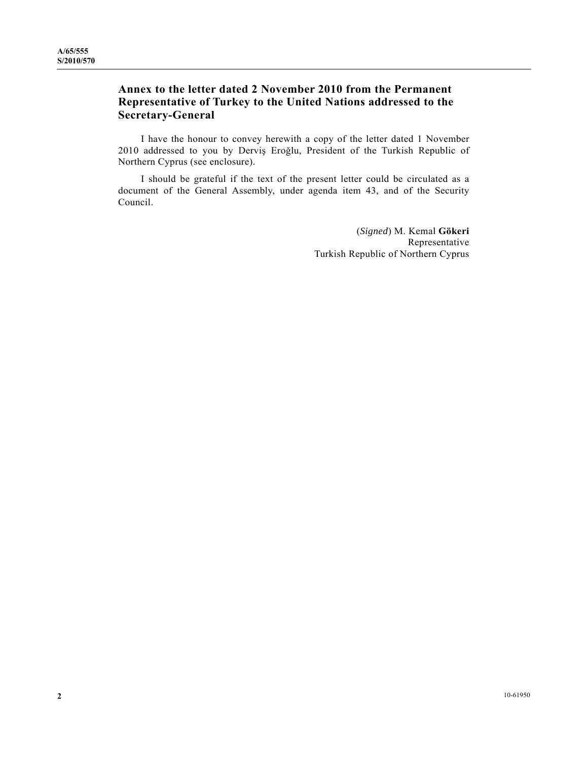## **Annex to the letter dated 2 November 2010 from the Permanent Representative of Turkey to the United Nations addressed to the Secretary-General**

 I have the honour to convey herewith a copy of the letter dated 1 November 2010 addressed to you by Derviş Eroğlu, President of the Turkish Republic of Northern Cyprus (see enclosure).

 I should be grateful if the text of the present letter could be circulated as a document of the General Assembly, under agenda item 43, and of the Security Council.

> (*Signed*) M. Kemal **Gökeri** Representative Turkish Republic of Northern Cyprus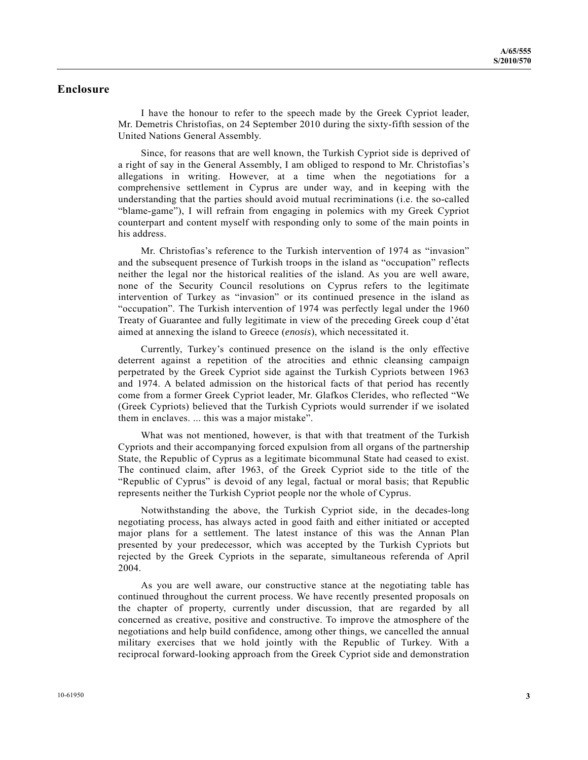## **Enclosure**

 I have the honour to refer to the speech made by the Greek Cypriot leader, Mr. Demetris Christofias, on 24 September 2010 during the sixty-fifth session of the United Nations General Assembly.

 Since, for reasons that are well known, the Turkish Cypriot side is deprived of a right of say in the General Assembly, I am obliged to respond to Mr. Christofias's allegations in writing. However, at a time when the negotiations for a comprehensive settlement in Cyprus are under way, and in keeping with the understanding that the parties should avoid mutual recriminations (i.e. the so-called "blame-game"), I will refrain from engaging in polemics with my Greek Cypriot counterpart and content myself with responding only to some of the main points in his address.

 Mr. Christofias's reference to the Turkish intervention of 1974 as "invasion" and the subsequent presence of Turkish troops in the island as "occupation" reflects neither the legal nor the historical realities of the island. As you are well aware, none of the Security Council resolutions on Cyprus refers to the legitimate intervention of Turkey as "invasion" or its continued presence in the island as "occupation". The Turkish intervention of 1974 was perfectly legal under the 1960 Treaty of Guarantee and fully legitimate in view of the preceding Greek coup d'état aimed at annexing the island to Greece (*enosis*), which necessitated it.

 Currently, Turkey's continued presence on the island is the only effective deterrent against a repetition of the atrocities and ethnic cleansing campaign perpetrated by the Greek Cypriot side against the Turkish Cypriots between 1963 and 1974. A belated admission on the historical facts of that period has recently come from a former Greek Cypriot leader, Mr. Glafkos Clerides, who reflected "We (Greek Cypriots) believed that the Turkish Cypriots would surrender if we isolated them in enclaves. ... this was a major mistake".

 What was not mentioned, however, is that with that treatment of the Turkish Cypriots and their accompanying forced expulsion from all organs of the partnership State, the Republic of Cyprus as a legitimate bicommunal State had ceased to exist. The continued claim, after 1963, of the Greek Cypriot side to the title of the "Republic of Cyprus" is devoid of any legal, factual or moral basis; that Republic represents neither the Turkish Cypriot people nor the whole of Cyprus.

 Notwithstanding the above, the Turkish Cypriot side, in the decades-long negotiating process, has always acted in good faith and either initiated or accepted major plans for a settlement. The latest instance of this was the Annan Plan presented by your predecessor, which was accepted by the Turkish Cypriots but rejected by the Greek Cypriots in the separate, simultaneous referenda of April 2004.

 As you are well aware, our constructive stance at the negotiating table has continued throughout the current process. We have recently presented proposals on the chapter of property, currently under discussion, that are regarded by all concerned as creative, positive and constructive. To improve the atmosphere of the negotiations and help build confidence, among other things, we cancelled the annual military exercises that we hold jointly with the Republic of Turkey. With a reciprocal forward-looking approach from the Greek Cypriot side and demonstration